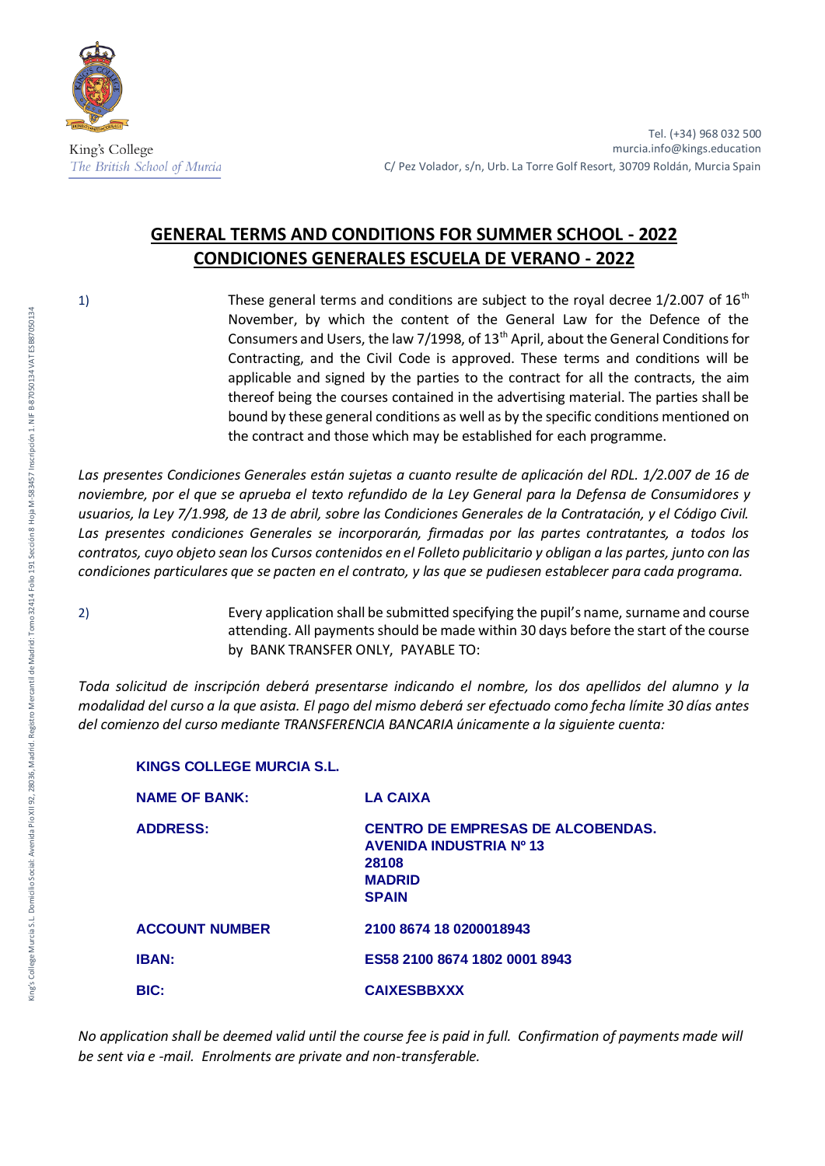

Tel. (+34) 968 032 500 murcia.info@kings.education C/ Pez Volador, s/n, Urb. La Torre Golf Resort, 30709 Roldán, Murcia Spain

## **GENERAL TERMS AND CONDITIONS FOR SUMMER SCHOOL - 2022 CONDICIONES GENERALES ESCUELA DE VERANO - 2022**

1) These general terms and conditions are subject to the royal decree  $1/2.007$  of  $16<sup>th</sup>$ November, by which the content of the General Law for the Defence of the Consumers and Users, the law 7/1998, of  $13<sup>th</sup>$  April, about the General Conditions for Contracting, and the Civil Code is approved. These terms and conditions will be applicable and signed by the parties to the contract for all the contracts, the aim thereof being the courses contained in the advertising material. The parties shall be bound by these general conditions as well as by the specific conditions mentioned on the contract and those which may be established for each programme.

*Las presentes Condiciones Generales están sujetas a cuanto resulte de aplicación del RDL. 1/2.007 de 16 de noviembre, por el que se aprueba el texto refundido de la Ley General para la Defensa de Consumidores y usuarios, la Ley 7/1.998, de 13 de abril, sobre las Condiciones Generales de la Contratación, y el Código Civil. Las presentes condiciones Generales se incorporarán, firmadas por las partes contratantes, a todos los contratos, cuyo objeto sean los Cursos contenidos en el Folleto publicitario y obligan a las partes, junto con las condiciones particulares que se pacten en el contrato, y las que se pudiesen establecer para cada programa.* 

2) Every application shall be submitted specifying the pupil's name, surname and course attending. All payments should be made within 30 days before the start of the course by BANK TRANSFER ONLY, PAYABLE TO:

*Toda solicitud de inscripción deberá presentarse indicando el nombre, los dos apellidos del alumno y la modalidad del curso a la que asista. El pago del mismo deberá ser efectuado como fecha límite 30 días antes del comienzo del curso mediante TRANSFERENCIA BANCARIA únicamente a la siguiente cuenta:* 

| <b>NAME OF BANK:</b>  | <b>LA CAIXA</b>                                                                                                      |
|-----------------------|----------------------------------------------------------------------------------------------------------------------|
| <b>ADDRESS:</b>       | <b>CENTRO DE EMPRESAS DE ALCOBENDAS.</b><br><b>AVENIDA INDUSTRIA Nº 13</b><br>28108<br><b>MADRID</b><br><b>SPAIN</b> |
| <b>ACCOUNT NUMBER</b> | 2100 8674 18 0200018943                                                                                              |
| <b>IBAN:</b>          | ES58 2100 8674 1802 0001 8943                                                                                        |
| <b>BIC:</b>           | <b>CAIXESBBXXX</b>                                                                                                   |

**KINGS COLLEGE MURCIA S.L.**

*No application shall be deemed valid until the course fee is paid in full. Confirmation of payments made will be sent via e -mail. Enrolments are private and non-transferable.*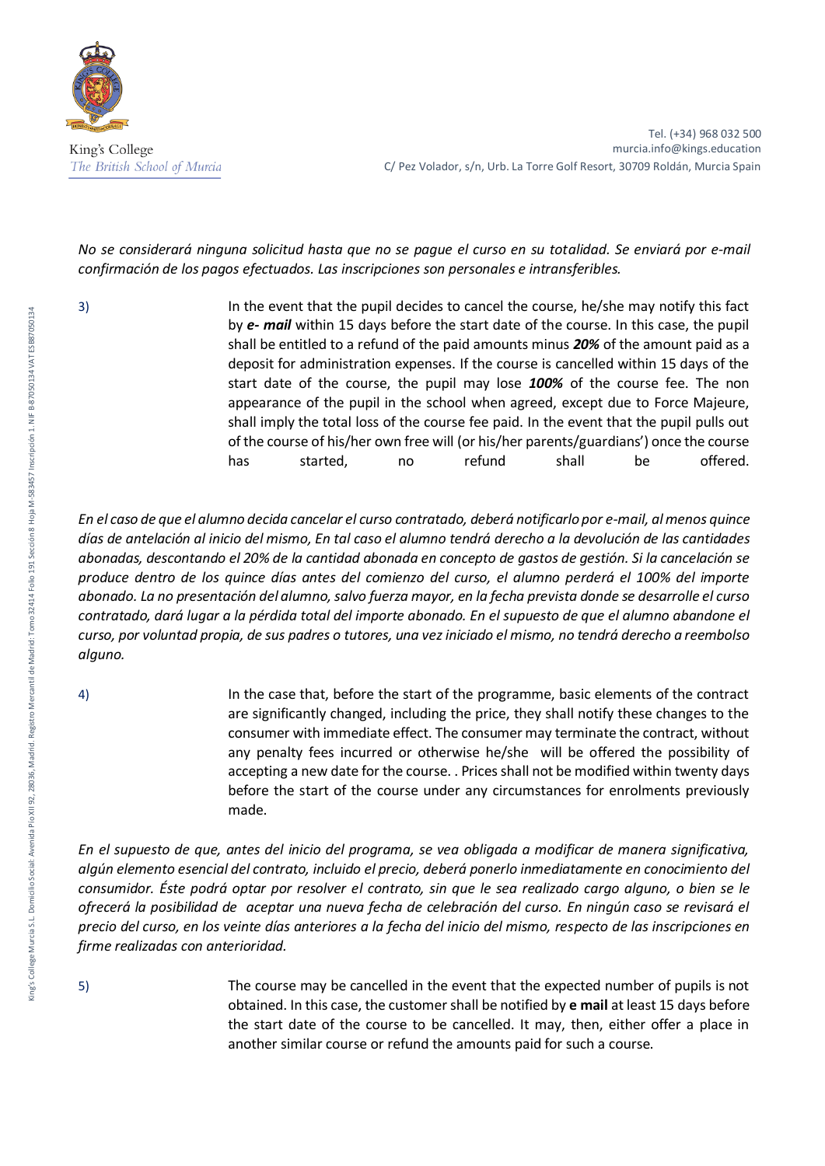

## *No se considerará ninguna solicitud hasta que no se pague el curso en su totalidad. Se enviará por e-mail confirmación de los pagos efectuados. Las inscripciones son personales e intransferibles.*

3) In the event that the pupil decides to cancel the course, he/she may notify this fact by *e- mail* within 15 days before the start date of the course. In this case, the pupil shall be entitled to a refund of the paid amounts minus *20%* of the amount paid as a deposit for administration expenses. If the course is cancelled within 15 days of the start date of the course, the pupil may lose *100%* of the course fee. The non appearance of the pupil in the school when agreed, except due to Force Majeure, shall imply the total loss of the course fee paid. In the event that the pupil pulls out of the course of his/her own free will (or his/her parents/guardians') once the course has started, no refund shall be offered.

*En el caso de que el alumno decida cancelar el curso contratado, deberá notificarlo por e-mail, al menos quince días de antelación al inicio del mismo, En tal caso el alumno tendrá derecho a la devolución de las cantidades abonadas, descontando el 20% de la cantidad abonada en concepto de gastos de gestión. Si la cancelación se produce dentro de los quince días antes del comienzo del curso, el alumno perderá el 100% del importe abonado. La no presentación del alumno, salvo fuerza mayor, en la fecha prevista donde se desarrolle el curso contratado, dará lugar a la pérdida total del importe abonado. En el supuesto de que el alumno abandone el curso, por voluntad propia, de sus padres o tutores, una vez iniciado el mismo, no tendrá derecho a reembolso alguno.* 

4) In the case that, before the start of the programme, basic elements of the contract are significantly changed, including the price, they shall notify these changes to the consumer with immediate effect. The consumer may terminate the contract, without any penalty fees incurred or otherwise he/she will be offered the possibility of accepting a new date for the course. . Prices shall not be modified within twenty days before the start of the course under any circumstances for enrolments previously made.

*En el supuesto de que, antes del inicio del programa, se vea obligada a modificar de manera significativa, algún elemento esencial del contrato, incluido el precio, deberá ponerlo inmediatamente en conocimiento del consumidor. Éste podrá optar por resolver el contrato, sin que le sea realizado cargo alguno, o bien se le ofrecerá la posibilidad de aceptar una nueva fecha de celebración del curso. En ningún caso se revisará el precio del curso, en los veinte días anteriores a la fecha del inicio del mismo, respecto de las inscripciones en firme realizadas con anterioridad.* 

- 
- 5) The course may be cancelled in the event that the expected number of pupils is not obtained. In this case, the customer shall be notified by **e mail** at least 15 days before the start date of the course to be cancelled. It may, then, either offer a place in another similar course or refund the amounts paid for such a course.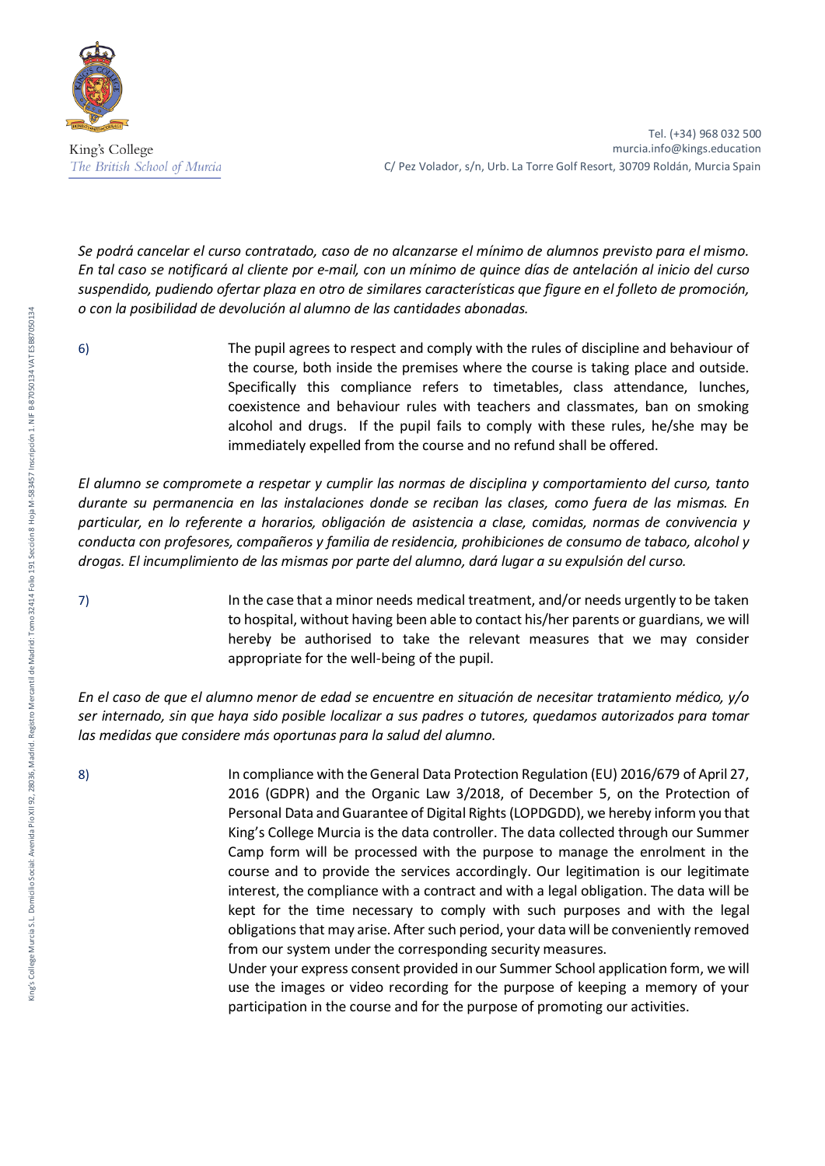

*Se podrá cancelar el curso contratado, caso de no alcanzarse el mínimo de alumnos previsto para el mismo. En tal caso se notificará al cliente por e-mail, con un mínimo de quince días de antelación al inicio del curso suspendido, pudiendo ofertar plaza en otro de similares características que figure en el folleto de promoción, o con la posibilidad de devolución al alumno de las cantidades abonadas.* 

6) The pupil agrees to respect and comply with the rules of discipline and behaviour of the course, both inside the premises where the course is taking place and outside. Specifically this compliance refers to timetables, class attendance, lunches, coexistence and behaviour rules with teachers and classmates, ban on smoking alcohol and drugs. If the pupil fails to comply with these rules, he/she may be immediately expelled from the course and no refund shall be offered.

*El alumno se compromete a respetar y cumplir las normas de disciplina y comportamiento del curso, tanto durante su permanencia en las instalaciones donde se reciban las clases, como fuera de las mismas. En particular, en lo referente a horarios, obligación de asistencia a clase, comidas, normas de convivencia y conducta con profesores, compañeros y familia de residencia, prohibiciones de consumo de tabaco, alcohol y drogas. El incumplimiento de las mismas por parte del alumno, dará lugar a su expulsión del curso.* 

7) In the case that a minor needs medical treatment, and/or needs urgently to be taken to hospital, without having been able to contact his/her parents or guardians, we will hereby be authorised to take the relevant measures that we may consider appropriate for the well-being of the pupil.

*En el caso de que el alumno menor de edad se encuentre en situación de necesitar tratamiento médico, y/o ser internado, sin que haya sido posible localizar a sus padres o tutores, quedamos autorizados para tomar las medidas que considere más oportunas para la salud del alumno.* 

8) In compliance with the General Data Protection Regulation (EU) 2016/679 of April 27, 2016 (GDPR) and the Organic Law 3/2018, of December 5, on the Protection of Personal Data and Guarantee of Digital Rights (LOPDGDD), we hereby inform you that King's College Murcia is the data controller. The data collected through our Summer Camp form will be processed with the purpose to manage the enrolment in the course and to provide the services accordingly. Our legitimation is our legitimate interest, the compliance with a contract and with a legal obligation. The data will be kept for the time necessary to comply with such purposes and with the legal obligations that may arise. After such period, your data will be conveniently removed from our system under the corresponding security measures.

Under your express consent provided in our Summer School application form, we will use the images or video recording for the purpose of keeping a memory of your participation in the course and for the purpose of promoting our activities.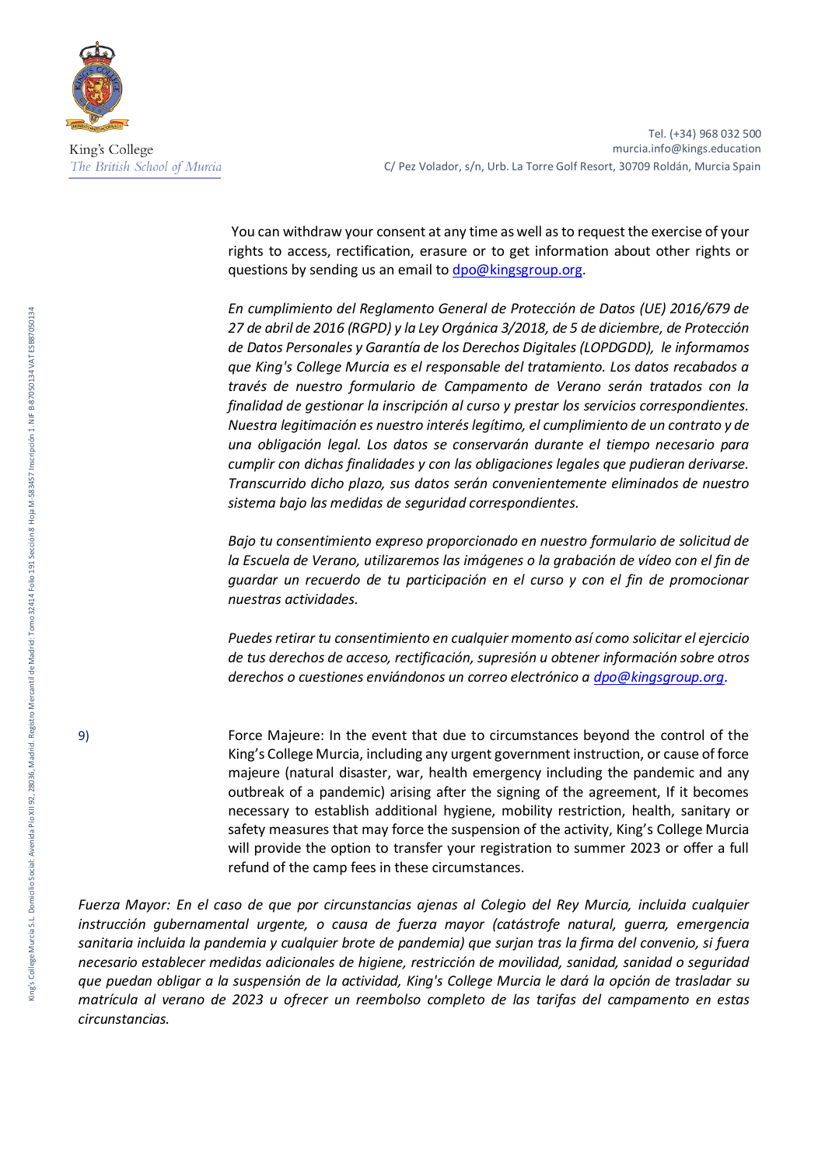

Tel. (+34) 968 032 500 murcia.info@kings.education C/ Pez Volador, s/n, Urb. La Torre Golf Resort, 30709 Roldán, Murcia Spain

You can withdraw your consent at any time as well as to request the exercise of your rights to access, rectification, erasure or to get information about other rights or questions by sending us an email t[o dpo@kingsgroup.org.](mailto:dpo@kingsgroup.org)

*En cumplimiento del Reglamento General de Protección de Datos (UE) 2016/679 de 27 de abril de 2016 (RGPD) y la Ley Orgánica 3/2018, de 5 de diciembre, de Protección de Datos Personales y Garantía de los Derechos Digitales (LOPDGDD), le informamos que King's College Murcia es el responsable del tratamiento. Los datos recabados a través de nuestro formulario de Campamento de Verano serán tratados con la finalidad de gestionar la inscripción al curso y prestar los servicios correspondientes. Nuestra legitimación es nuestro interés legítimo, el cumplimiento de un contrato y de una obligación legal. Los datos se conservarán durante el tiempo necesario para cumplir con dichas finalidades y con las obligaciones legales que pudieran derivarse. Transcurrido dicho plazo, sus datos serán convenientemente eliminados de nuestro sistema bajo las medidas de seguridad correspondientes.* 

*Bajo tu consentimiento expreso proporcionado en nuestro formulario de solicitud de la Escuela de Verano, utilizaremos las imágenes o la grabación de vídeo con el fin de guardar un recuerdo de tu participación en el curso y con el fin de promocionar nuestras actividades.*

*Puedes retirar tu consentimiento en cualquier momento así como solicitar el ejercicio de tus derechos de acceso, rectificación, supresión u obtener información sobre otros derechos o cuestiones enviándonos un correo electrónico a [dpo@kingsgroup.org.](mailto:dpo@kingsgroup.org)*

9) Force Majeure: In the event that due to circumstances beyond the control of the King's College Murcia, including any urgent government instruction, or cause of force majeure (natural disaster, war, health emergency including the pandemic and any outbreak of a pandemic) arising after the signing of the agreement, If it becomes necessary to establish additional hygiene, mobility restriction, health, sanitary or safety measures that may force the suspension of the activity, King's College Murcia will provide the option to transfer your registration to summer 2023 or offer a full refund of the camp fees in these circumstances.

*Fuerza Mayor: En el caso de que por circunstancias ajenas al Colegio del Rey Murcia, incluida cualquier instrucción gubernamental urgente, o causa de fuerza mayor (catástrofe natural, guerra, emergencia sanitaria incluida la pandemia y cualquier brote de pandemia) que surjan tras la firma del convenio, si fuera necesario establecer medidas adicionales de higiene, restricción de movilidad, sanidad, sanidad o seguridad que puedan obligar a la suspensión de la actividad, King's College Murcia le dará la opción de trasladar su matrícula al verano de 2023 u ofrecer un reembolso completo de las tarifas del campamento en estas circunstancias.*